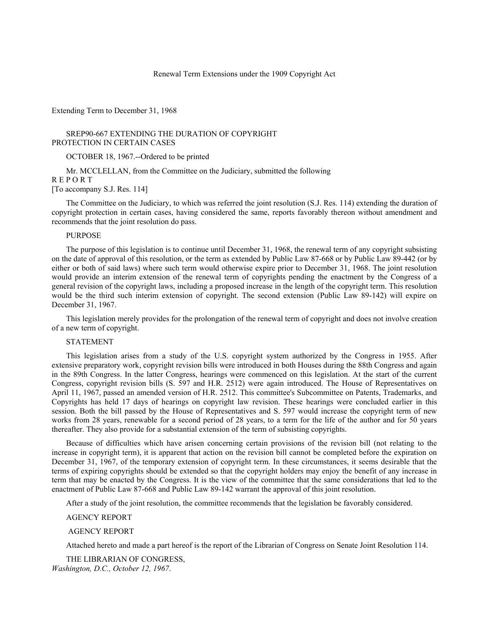### Renewal Term Extensions under the 1909 Copyright Act

Extending Term to December 31, 1968

SREP90-667 EXTENDING THE DURATION OF COPYRIGHT PROTECTION IN CERTAIN CASES

OCTOBER 18, 1967.--Ordered to be printed

Mr. MCCLELLAN, from the Committee on the Judiciary, submitted the following R E P O R T [To accompany S.J. Res. 114]

The Committee on the Judiciary, to which was referred the joint resolution (S.J. Res. 114) extending the duration of copyright protection in certain cases, having considered the same, reports favorably thereon without amendment and recommends that the joint resolution do pass.

### PURPOSE

The purpose of this legislation is to continue until December 31, 1968, the renewal term of any copyright subsisting on the date of approval of this resolution, or the term as extended by Public Law 87-668 or by Public Law 89-442 (or by either or both of said laws) where such term would otherwise expire prior to December 31, 1968. The joint resolution would provide an interim extension of the renewal term of copyrights pending the enactment by the Congress of a general revision of the copyright laws, including a proposed increase in the length of the copyright term. This resolution would be the third such interim extension of copyright. The second extension (Public Law 89-142) will expire on December 31, 1967.

This legislation merely provides for the prolongation of the renewal term of copyright and does not involve creation of a new term of copyright.

## STATEMENT

This legislation arises from a study of the U.S. copyright system authorized by the Congress in 1955. After extensive preparatory work, copyright revision bills were introduced in both Houses during the 88th Congress and again in the 89th Congress. In the latter Congress, hearings were commenced on this legislation. At the start of the current Congress, copyright revision bills (S. 597 and H.R. 2512) were again introduced. The House of Representatives on April 11, 1967, passed an amended version of H.R. 2512. This committee's Subcommittee on Patents, Trademarks, and Copyrights has held 17 days of hearings on copyright law revision. These hearings were concluded earlier in this session. Both the bill passed by the House of Representatives and S. 597 would increase the copyright term of new works from 28 years, renewable for a second period of 28 years, to a term for the life of the author and for 50 years thereafter. They also provide for a substantial extension of the term of subsisting copyrights.

Because of difficulties which have arisen concerning certain provisions of the revision bill (not relating to the increase in copyright term), it is apparent that action on the revision bill cannot be completed before the expiration on December 31, 1967, of the temporary extension of copyright term. In these circumstances, it seems desirable that the terms of expiring copyrights should be extended so that the copyright holders may enjoy the benefit of any increase in term that may be enacted by the Congress. It is the view of the committee that the same considerations that led to the enactment of Public Law 87-668 and Public Law 89-142 warrant the approval of this joint resolution.

After a study of the joint resolution, the committee recommends that the legislation be favorably considered.

#### AGENCY REPORT

### AGENCY REPORT

Attached hereto and made a part hereof is the report of the Librarian of Congress on Senate Joint Resolution 114.

THE LIBRARIAN OF CONGRESS, *Washington, D.C., October 12, 1967*.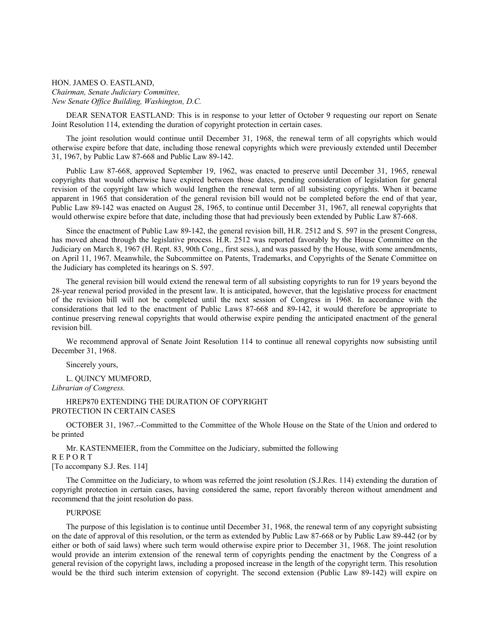HON. JAMES O. EASTLAND, *Chairman, Senate Judiciary Committee, New Senate Office Building, Washington, D.C.*

DEAR SENATOR EASTLAND: This is in response to your letter of October 9 requesting our report on Senate Joint Resolution 114, extending the duration of copyright protection in certain cases.

The joint resolution would continue until December 31, 1968, the renewal term of all copyrights which would otherwise expire before that date, including those renewal copyrights which were previously extended until December 31, 1967, by Public Law 87-668 and Public Law 89-142.

Public Law 87-668, approved September 19, 1962, was enacted to preserve until December 31, 1965, renewal copyrights that would otherwise have expired between those dates, pending consideration of legislation for general revision of the copyright law which would lengthen the renewal term of all subsisting copyrights. When it became apparent in 1965 that consideration of the general revision bill would not be completed before the end of that year, Public Law 89-142 was enacted on August 28, 1965, to continue until December 31, 1967, all renewal copyrights that would otherwise expire before that date, including those that had previously been extended by Public Law 87-668.

Since the enactment of Public Law 89-142, the general revision bill, H.R. 2512 and S. 597 in the present Congress, has moved ahead through the legislative process. H.R. 2512 was reported favorably by the House Committee on the Judiciary on March 8, 1967 (H. Rept. 83, 90th Cong., first sess.), and was passed by the House, with some amendments, on April 11, 1967. Meanwhile, the Subcommittee on Patents, Trademarks, and Copyrights of the Senate Committee on the Judiciary has completed its hearings on S. 597.

The general revision bill would extend the renewal term of all subsisting copyrights to run for 19 years beyond the 28-year renewal period provided in the present law. It is anticipated, however, that the legislative process for enactment of the revision bill will not be completed until the next session of Congress in 1968. In accordance with the considerations that led to the enactment of Public Laws 87-668 and 89-142, it would therefore be appropriate to continue preserving renewal copyrights that would otherwise expire pending the anticipated enactment of the general revision bill.

We recommend approval of Senate Joint Resolution 114 to continue all renewal copyrights now subsisting until December 31, 1968.

Sincerely yours,

L. QUINCY MUMFORD, *Librarian of Congress.*

### HREP870 EXTENDING THE DURATION OF COPYRIGHT PROTECTION IN CERTAIN CASES

OCTOBER 31, 1967.--Committed to the Committee of the Whole House on the State of the Union and ordered to be printed

Mr. KASTENMEIER, from the Committee on the Judiciary, submitted the following R E P O R T

[To accompany S.J. Res. 114]

The Committee on the Judiciary, to whom was referred the joint resolution (S.J.Res. 114) extending the duration of copyright protection in certain cases, having considered the same, report favorably thereon without amendment and recommend that the joint resolution do pass.

### PURPOSE

The purpose of this legislation is to continue until December 31, 1968, the renewal term of any copyright subsisting on the date of approval of this resolution, or the term as extended by Public Law 87-668 or by Public Law 89-442 (or by either or both of said laws) where such term would otherwise expire prior to December 31, 1968. The joint resolution would provide an interim extension of the renewal term of copyrights pending the enactment by the Congress of a general revision of the copyright laws, including a proposed increase in the length of the copyright term. This resolution would be the third such interim extension of copyright. The second extension (Public Law 89-142) will expire on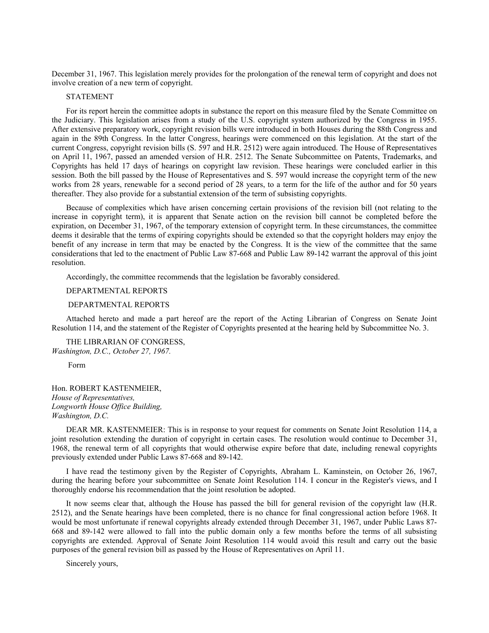December 31, 1967. This legislation merely provides for the prolongation of the renewal term of copyright and does not involve creation of a new term of copyright.

## STATEMENT

For its report herein the committee adopts in substance the report on this measure filed by the Senate Committee on the Judiciary. This legislation arises from a study of the U.S. copyright system authorized by the Congress in 1955. After extensive preparatory work, copyright revision bills were introduced in both Houses during the 88th Congress and again in the 89th Congress. In the latter Congress, hearings were commenced on this legislation. At the start of the current Congress, copyright revision bills (S. 597 and H.R. 2512) were again introduced. The House of Representatives on April 11, 1967, passed an amended version of H.R. 2512. The Senate Subcommittee on Patents, Trademarks, and Copyrights has held 17 days of hearings on copyright law revision. These hearings were concluded earlier in this session. Both the bill passed by the House of Representatives and S. 597 would increase the copyright term of the new works from 28 years, renewable for a second period of 28 years, to a term for the life of the author and for 50 years thereafter. They also provide for a substantial extension of the term of subsisting copyrights.

Because of complexities which have arisen concerning certain provisions of the revision bill (not relating to the increase in copyright term), it is apparent that Senate action on the revision bill cannot be completed before the expiration, on December 31, 1967, of the temporary extension of copyright term. In these circumstances, the committee deems it desirable that the terms of expiring copyrights should be extended so that the copyright holders may enjoy the benefit of any increase in term that may be enacted by the Congress. It is the view of the committee that the same considerations that led to the enactment of Public Law 87-668 and Public Law 89-142 warrant the approval of this joint resolution.

Accordingly, the committee recommends that the legislation be favorably considered.

### DEPARTMENTAL REPORTS

### DEPARTMENTAL REPORTS

Attached hereto and made a part hereof are the report of the Acting Librarian of Congress on Senate Joint Resolution 114, and the statement of the Register of Copyrights presented at the hearing held by Subcommittee No. 3.

THE LIBRARIAN OF CONGRESS, *Washington, D.C., October 27, 1967.*

Form

Hon. ROBERT KASTENMEIER, *House of Representatives, Longworth House Office Building, Washington, D.C.*

DEAR MR. KASTENMEIER: This is in response to your request for comments on Senate Joint Resolution 114, a joint resolution extending the duration of copyright in certain cases. The resolution would continue to December 31, 1968, the renewal term of all copyrights that would otherwise expire before that date, including renewal copyrights previously extended under Public Laws 87-668 and 89-142.

I have read the testimony given by the Register of Copyrights, Abraham L. Kaminstein, on October 26, 1967, during the hearing before your subcommittee on Senate Joint Resolution 114. I concur in the Register's views, and I thoroughly endorse his recommendation that the joint resolution be adopted.

It now seems clear that, although the House has passed the bill for general revision of the copyright law (H.R. 2512), and the Senate hearings have been completed, there is no chance for final congressional action before 1968. It would be most unfortunate if renewal copyrights already extended through December 31, 1967, under Public Laws 87- 668 and 89-142 were allowed to fall into the public domain only a few months before the terms of all subsisting copyrights are extended. Approval of Senate Joint Resolution 114 would avoid this result and carry out the basic purposes of the general revision bill as passed by the House of Representatives on April 11.

Sincerely yours,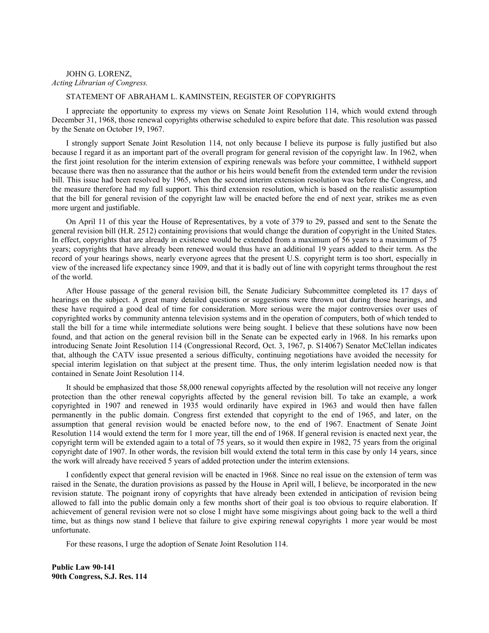# JOHN G. LORENZ, *Acting Librarian of Congress.*

# STATEMENT OF ABRAHAM L. KAMINSTEIN, REGISTER OF COPYRIGHTS

I appreciate the opportunity to express my views on Senate Joint Resolution 114, which would extend through December 31, 1968, those renewal copyrights otherwise scheduled to expire before that date. This resolution was passed by the Senate on October 19, 1967.

I strongly support Senate Joint Resolution 114, not only because I believe its purpose is fully justified but also because I regard it as an important part of the overall program for general revision of the copyright law. In 1962, when the first joint resolution for the interim extension of expiring renewals was before your committee, I withheld support because there was then no assurance that the author or his heirs would benefit from the extended term under the revision bill. This issue had been resolved by 1965, when the second interim extension resolution was before the Congress, and the measure therefore had my full support. This third extension resolution, which is based on the realistic assumption that the bill for general revision of the copyright law will be enacted before the end of next year, strikes me as even more urgent and justifiable.

On April 11 of this year the House of Representatives, by a vote of 379 to 29, passed and sent to the Senate the general revision bill (H.R. 2512) containing provisions that would change the duration of copyright in the United States. In effect, copyrights that are already in existence would be extended from a maximum of 56 years to a maximum of 75 years; copyrights that have already been renewed would thus have an additional 19 years added to their term. As the record of your hearings shows, nearly everyone agrees that the present U.S. copyright term is too short, especially in view of the increased life expectancy since 1909, and that it is badly out of line with copyright terms throughout the rest of the world.

After House passage of the general revision bill, the Senate Judiciary Subcommittee completed its 17 days of hearings on the subject. A great many detailed questions or suggestions were thrown out during those hearings, and these have required a good deal of time for consideration. More serious were the major controversies over uses of copyrighted works by community antenna television systems and in the operation of computers, both of which tended to stall the bill for a time while intermediate solutions were being sought. I believe that these solutions have now been found, and that action on the general revision bill in the Senate can be expected early in 1968. In his remarks upon introducing Senate Joint Resolution 114 (Congressional Record, Oct. 3, 1967, p. S14067) Senator McClellan indicates that, although the CATV issue presented a serious difficulty, continuing negotiations have avoided the necessity for special interim legislation on that subject at the present time. Thus, the only interim legislation needed now is that contained in Senate Joint Resolution 114.

It should be emphasized that those 58,000 renewal copyrights affected by the resolution will not receive any longer protection than the other renewal copyrights affected by the general revision bill. To take an example, a work copyrighted in 1907 and renewed in 1935 would ordinarily have expired in 1963 and would then have fallen permanently in the public domain. Congress first extended that copyright to the end of 1965, and later, on the assumption that general revision would be enacted before now, to the end of 1967. Enactment of Senate Joint Resolution 114 would extend the term for 1 more year, till the end of 1968. If general revision is enacted next year, the copyright term will be extended again to a total of 75 years, so it would then expire in 1982, 75 years from the original copyright date of 1907. In other words, the revision bill would extend the total term in this case by only 14 years, since the work will already have received 5 years of added protection under the interim extensions.

I confidently expect that general revision will be enacted in 1968. Since no real issue on the extension of term was raised in the Senate, the duration provisions as passed by the House in April will, I believe, be incorporated in the new revision statute. The poignant irony of copyrights that have already been extended in anticipation of revision being allowed to fall into the public domain only a few months short of their goal is too obvious to require elaboration. If achievement of general revision were not so close I might have some misgivings about going back to the well a third time, but as things now stand I believe that failure to give expiring renewal copyrights 1 more year would be most unfortunate.

For these reasons, I urge the adoption of Senate Joint Resolution 114.

**Public Law 90-141 90th Congress, S.J. Res. 114**